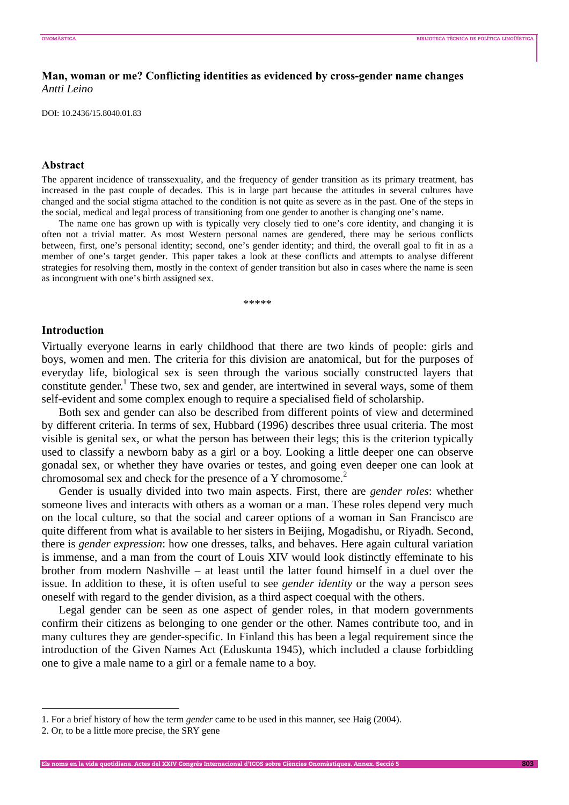# **Man, woman or me? Conflicting identities as evidenced by cross-gender name changes**  *Antti Leino*

DOI: 10.2436/15.8040.01.83

#### **Abstract**

The apparent incidence of transsexuality, and the frequency of gender transition as its primary treatment, has increased in the past couple of decades. This is in large part because the attitudes in several cultures have changed and the social stigma attached to the condition is not quite as severe as in the past. One of the steps in the social, medical and legal process of transitioning from one gender to another is changing one's name.

 The name one has grown up with is typically very closely tied to one's core identity, and changing it is often not a trivial matter. As most Western personal names are gendered, there may be serious conflicts between, first, one's personal identity; second, one's gender identity; and third, the overall goal to fit in as a member of one's target gender. This paper takes a look at these conflicts and attempts to analyse different strategies for resolving them, mostly in the context of gender transition but also in cases where the name is seen as incongruent with one's birth assigned sex.

\*\*\*\*\*

## **Introduction**

Virtually everyone learns in early childhood that there are two kinds of people: girls and boys, women and men. The criteria for this division are anatomical, but for the purposes of everyday life, biological sex is seen through the various socially constructed layers that constitute gender.<sup>1</sup> These two, sex and gender, are intertwined in several ways, some of them self-evident and some complex enough to require a specialised field of scholarship.

Both sex and gender can also be described from different points of view and determined by different criteria. In terms of sex, Hubbard (1996) describes three usual criteria. The most visible is genital sex, or what the person has between their legs; this is the criterion typically used to classify a newborn baby as a girl or a boy. Looking a little deeper one can observe gonadal sex, or whether they have ovaries or testes, and going even deeper one can look at chromosomal sex and check for the presence of a Y chromosome.<sup>2</sup>

Gender is usually divided into two main aspects. First, there are *gender roles*: whether someone lives and interacts with others as a woman or a man. These roles depend very much on the local culture, so that the social and career options of a woman in San Francisco are quite different from what is available to her sisters in Beijing, Mogadishu, or Riyadh. Second, there is *gender expression*: how one dresses, talks, and behaves. Here again cultural variation is immense, and a man from the court of Louis XIV would look distinctly effeminate to his brother from modern Nashville – at least until the latter found himself in a duel over the issue. In addition to these, it is often useful to see *gender identity* or the way a person sees oneself with regard to the gender division, as a third aspect coequal with the others.

Legal gender can be seen as one aspect of gender roles, in that modern governments confirm their citizens as belonging to one gender or the other. Names contribute too, and in many cultures they are gender-specific. In Finland this has been a legal requirement since the introduction of the Given Names Act (Eduskunta 1945), which included a clause forbidding one to give a male name to a girl or a female name to a boy.

 $\overline{a}$ 

**Els noms en la vida quotidiana. Actes del XXIV Congrés Internacional d'ICOS sobre Ciències Onomàstiques. Annex. Secció 5 803**

<sup>1.</sup> For a brief history of how the term *gender* came to be used in this manner, see Haig (2004).

<sup>2.</sup> Or, to be a little more precise, the SRY gene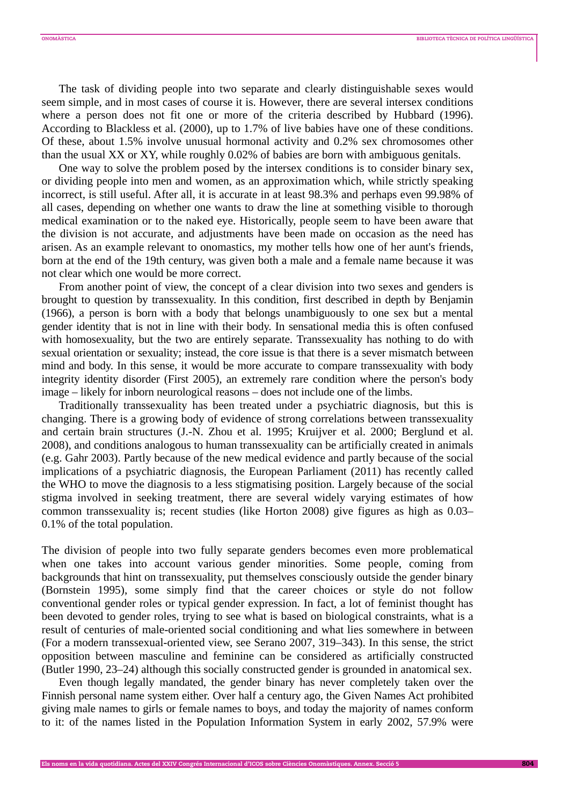The task of dividing people into two separate and clearly distinguishable sexes would seem simple, and in most cases of course it is. However, there are several intersex conditions where a person does not fit one or more of the criteria described by Hubbard (1996). According to Blackless et al. (2000), up to 1.7% of live babies have one of these conditions. Of these, about 1.5% involve unusual hormonal activity and 0.2% sex chromosomes other than the usual XX or XY, while roughly 0.02% of babies are born with ambiguous genitals.

One way to solve the problem posed by the intersex conditions is to consider binary sex, or dividing people into men and women, as an approximation which, while strictly speaking incorrect, is still useful. After all, it is accurate in at least 98.3% and perhaps even 99.98% of all cases, depending on whether one wants to draw the line at something visible to thorough medical examination or to the naked eye. Historically, people seem to have been aware that the division is not accurate, and adjustments have been made on occasion as the need has arisen. As an example relevant to onomastics, my mother tells how one of her aunt's friends, born at the end of the 19th century, was given both a male and a female name because it was not clear which one would be more correct.

From another point of view, the concept of a clear division into two sexes and genders is brought to question by transsexuality. In this condition, first described in depth by Benjamin (1966), a person is born with a body that belongs unambiguously to one sex but a mental gender identity that is not in line with their body. In sensational media this is often confused with homosexuality, but the two are entirely separate. Transsexuality has nothing to do with sexual orientation or sexuality; instead, the core issue is that there is a sever mismatch between mind and body. In this sense, it would be more accurate to compare transsexuality with body integrity identity disorder (First 2005), an extremely rare condition where the person's body image – likely for inborn neurological reasons – does not include one of the limbs.

Traditionally transsexuality has been treated under a psychiatric diagnosis, but this is changing. There is a growing body of evidence of strong correlations between transsexuality and certain brain structures (J.-N. Zhou et al. 1995; Kruijver et al. 2000; Berglund et al. 2008), and conditions analogous to human transsexuality can be artificially created in animals (e.g. Gahr 2003). Partly because of the new medical evidence and partly because of the social implications of a psychiatric diagnosis, the European Parliament (2011) has recently called the WHO to move the diagnosis to a less stigmatising position. Largely because of the social stigma involved in seeking treatment, there are several widely varying estimates of how common transsexuality is; recent studies (like Horton 2008) give figures as high as 0.03– 0.1% of the total population.

The division of people into two fully separate genders becomes even more problematical when one takes into account various gender minorities. Some people, coming from backgrounds that hint on transsexuality, put themselves consciously outside the gender binary (Bornstein 1995), some simply find that the career choices or style do not follow conventional gender roles or typical gender expression. In fact, a lot of feminist thought has been devoted to gender roles, trying to see what is based on biological constraints, what is a result of centuries of male-oriented social conditioning and what lies somewhere in between (For a modern transsexual-oriented view, see Serano 2007, 319–343). In this sense, the strict opposition between masculine and feminine can be considered as artificially constructed (Butler 1990, 23–24) although this socially constructed gender is grounded in anatomical sex.

Even though legally mandated, the gender binary has never completely taken over the Finnish personal name system either. Over half a century ago, the Given Names Act prohibited giving male names to girls or female names to boys, and today the majority of names conform to it: of the names listed in the Population Information System in early 2002, 57.9% were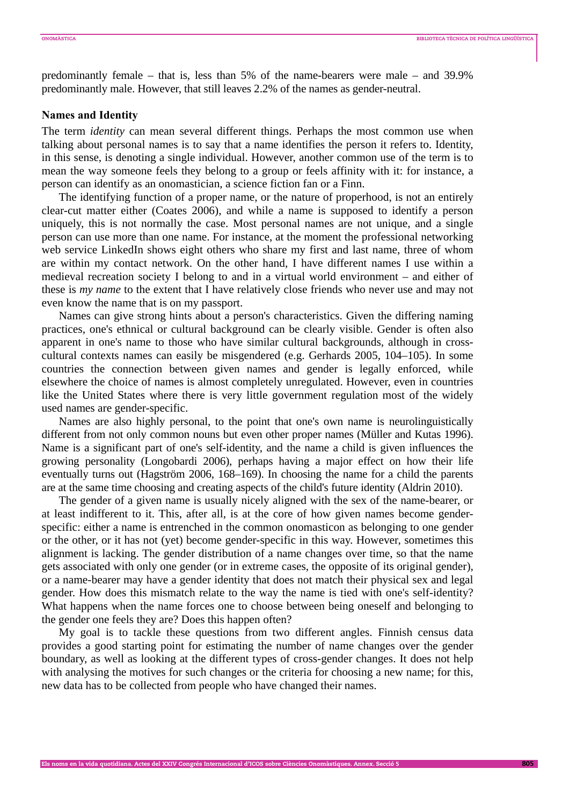predominantly female – that is, less than 5% of the name-bearers were male – and 39.9% predominantly male. However, that still leaves 2.2% of the names as gender-neutral.

#### **Names and Identity**

The term *identity* can mean several different things. Perhaps the most common use when talking about personal names is to say that a name identifies the person it refers to. Identity, in this sense, is denoting a single individual. However, another common use of the term is to mean the way someone feels they belong to a group or feels affinity with it: for instance, a person can identify as an onomastician, a science fiction fan or a Finn.

The identifying function of a proper name, or the nature of properhood, is not an entirely clear-cut matter either (Coates 2006), and while a name is supposed to identify a person uniquely, this is not normally the case. Most personal names are not unique, and a single person can use more than one name. For instance, at the moment the professional networking web service LinkedIn shows eight others who share my first and last name, three of whom are within my contact network. On the other hand, I have different names I use within a medieval recreation society I belong to and in a virtual world environment – and either of these is *my name* to the extent that I have relatively close friends who never use and may not even know the name that is on my passport.

Names can give strong hints about a person's characteristics. Given the differing naming practices, one's ethnical or cultural background can be clearly visible. Gender is often also apparent in one's name to those who have similar cultural backgrounds, although in crosscultural contexts names can easily be misgendered (e.g. Gerhards 2005, 104–105). In some countries the connection between given names and gender is legally enforced, while elsewhere the choice of names is almost completely unregulated. However, even in countries like the United States where there is very little government regulation most of the widely used names are gender-specific.

Names are also highly personal, to the point that one's own name is neurolinguistically different from not only common nouns but even other proper names (Müller and Kutas 1996). Name is a significant part of one's self-identity, and the name a child is given influences the growing personality (Longobardi 2006), perhaps having a major effect on how their life eventually turns out (Hagström 2006, 168–169). In choosing the name for a child the parents are at the same time choosing and creating aspects of the child's future identity (Aldrin 2010).

 The gender of a given name is usually nicely aligned with the sex of the name-bearer, or at least indifferent to it. This, after all, is at the core of how given names become genderspecific: either a name is entrenched in the common onomasticon as belonging to one gender or the other, or it has not (yet) become gender-specific in this way. However, sometimes this alignment is lacking. The gender distribution of a name changes over time, so that the name gets associated with only one gender (or in extreme cases, the opposite of its original gender), or a name-bearer may have a gender identity that does not match their physical sex and legal gender. How does this mismatch relate to the way the name is tied with one's self-identity? What happens when the name forces one to choose between being oneself and belonging to the gender one feels they are? Does this happen often?

My goal is to tackle these questions from two different angles. Finnish census data provides a good starting point for estimating the number of name changes over the gender boundary, as well as looking at the different types of cross-gender changes. It does not help with analysing the motives for such changes or the criteria for choosing a new name; for this, new data has to be collected from people who have changed their names.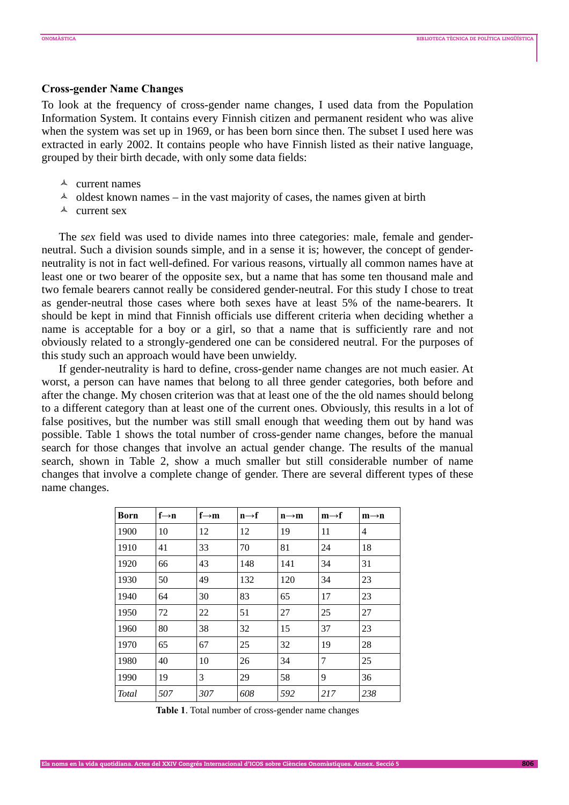# **Cross-gender Name Changes**

To look at the frequency of cross-gender name changes, I used data from the Population Information System. It contains every Finnish citizen and permanent resident who was alive when the system was set up in 1969, or has been born since then. The subset I used here was extracted in early 2002. It contains people who have Finnish listed as their native language, grouped by their birth decade, with only some data fields:

- $\lambda$  current names
- $\triangle$  oldest known names in the vast majority of cases, the names given at birth
- $\lambda$  current sex

The *sex* field was used to divide names into three categories: male, female and genderneutral. Such a division sounds simple, and in a sense it is; however, the concept of genderneutrality is not in fact well-defined. For various reasons, virtually all common names have at least one or two bearer of the opposite sex, but a name that has some ten thousand male and two female bearers cannot really be considered gender-neutral. For this study I chose to treat as gender-neutral those cases where both sexes have at least 5% of the name-bearers. It should be kept in mind that Finnish officials use different criteria when deciding whether a name is acceptable for a boy or a girl, so that a name that is sufficiently rare and not obviously related to a strongly-gendered one can be considered neutral. For the purposes of this study such an approach would have been unwieldy.

If gender-neutrality is hard to define, cross-gender name changes are not much easier. At worst, a person can have names that belong to all three gender categories, both before and after the change. My chosen criterion was that at least one of the the old names should belong to a different category than at least one of the current ones. Obviously, this results in a lot of false positives, but the number was still small enough that weeding them out by hand was possible. Table 1 shows the total number of cross-gender name changes, before the manual search for those changes that involve an actual gender change. The results of the manual search, shown in Table 2, show a much smaller but still considerable number of name changes that involve a complete change of gender. There are several different types of these name changes.

| Born         | $f \rightarrow n$ | f $\rightarrow$ m | $n\rightarrow f$ | $n \rightarrow m$ | $m \rightarrow f$ | $m \rightarrow n$ |
|--------------|-------------------|-------------------|------------------|-------------------|-------------------|-------------------|
| 1900         | 10                | 12                | 12               | 19                | 11                | 4                 |
| 1910         | 41                | 33                | 70               | 81                | 24                | 18                |
| 1920         | 66                | 43                | 148              | 141               | 34                | 31                |
| 1930         | 50                | 49                | 132              | 120               | 34                | 23                |
| 1940         | 64                | 30                | 83               | 65                | 17                | 23                |
| 1950         | 72                | 22                | 51               | 27                | 25                | 27                |
| 1960         | 80                | 38                | 32               | 15                | 37                | 23                |
| 1970         | 65                | 67                | 25               | 32                | 19                | 28                |
| 1980         | 40                | 10                | 26               | 34                | 7                 | 25                |
| 1990         | 19                | 3                 | 29               | 58                | 9                 | 36                |
| <b>Total</b> | 507               | 307               | 608              | 592               | 217               | 238               |

**Table 1**. Total number of cross-gender name changes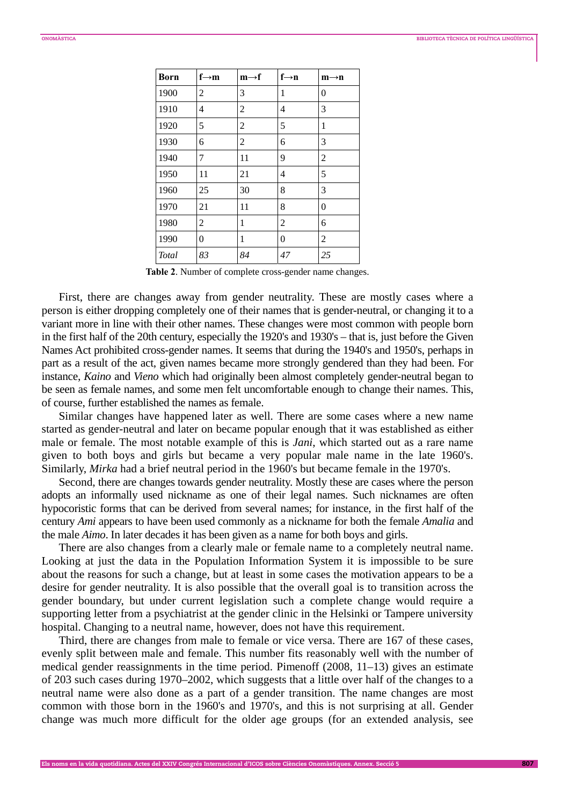| Born  | $f \rightarrow m$ | $m \rightarrow f$ | $f \rightarrow n$ | $m \rightarrow n$ |
|-------|-------------------|-------------------|-------------------|-------------------|
| 1900  | 2                 | 3                 | 1                 | $\theta$          |
| 1910  | 4                 | $\overline{2}$    | 4                 | 3                 |
| 1920  | 5                 | 2                 | 5                 | 1                 |
| 1930  | 6                 | 2                 | 6                 | 3                 |
| 1940  | 7                 | 11                | 9                 | 2                 |
| 1950  | 11                | 21                | 4                 | 5                 |
| 1960  | 25                | 30                | 8                 | 3                 |
| 1970  | 21                | 11                | 8                 | 0                 |
| 1980  | 2                 | 1                 | 2                 | 6                 |
| 1990  | $\theta$          | 1                 | $\theta$          | 2                 |
| Total | 83                | 84                | 47                | 25                |

**Table 2**. Number of complete cross-gender name changes.

First, there are changes away from gender neutrality. These are mostly cases where a person is either dropping completely one of their names that is gender-neutral, or changing it to a variant more in line with their other names. These changes were most common with people born in the first half of the 20th century, especially the 1920's and 1930's – that is, just before the Given Names Act prohibited cross-gender names. It seems that during the 1940's and 1950's, perhaps in part as a result of the act, given names became more strongly gendered than they had been. For instance, *Kaino* and *Vieno* which had originally been almost completely gender-neutral began to be seen as female names, and some men felt uncomfortable enough to change their names. This, of course, further established the names as female.

Similar changes have happened later as well. There are some cases where a new name started as gender-neutral and later on became popular enough that it was established as either male or female. The most notable example of this is *Jani*, which started out as a rare name given to both boys and girls but became a very popular male name in the late 1960's. Similarly, *Mirka* had a brief neutral period in the 1960's but became female in the 1970's.

Second, there are changes towards gender neutrality. Mostly these are cases where the person adopts an informally used nickname as one of their legal names. Such nicknames are often hypocoristic forms that can be derived from several names; for instance, in the first half of the century *Ami* appears to have been used commonly as a nickname for both the female *Amalia* and the male *Aimo*. In later decades it has been given as a name for both boys and girls.

There are also changes from a clearly male or female name to a completely neutral name. Looking at just the data in the Population Information System it is impossible to be sure about the reasons for such a change, but at least in some cases the motivation appears to be a desire for gender neutrality. It is also possible that the overall goal is to transition across the gender boundary, but under current legislation such a complete change would require a supporting letter from a psychiatrist at the gender clinic in the Helsinki or Tampere university hospital. Changing to a neutral name, however, does not have this requirement.

Third, there are changes from male to female or vice versa. There are 167 of these cases, evenly split between male and female. This number fits reasonably well with the number of medical gender reassignments in the time period. Pimenoff (2008, 11–13) gives an estimate of 203 such cases during 1970–2002, which suggests that a little over half of the changes to a neutral name were also done as a part of a gender transition. The name changes are most common with those born in the 1960's and 1970's, and this is not surprising at all. Gender change was much more difficult for the older age groups (for an extended analysis, see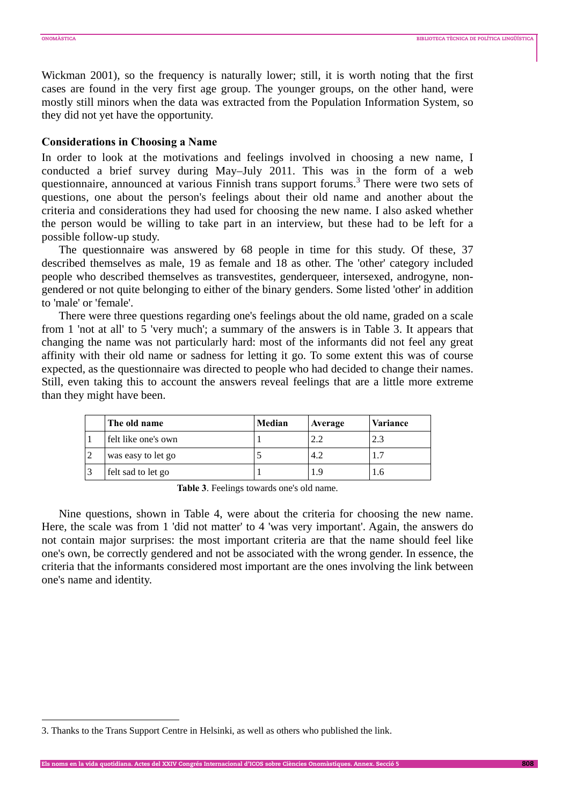$\overline{a}$ 

Wickman 2001), so the frequency is naturally lower; still, it is worth noting that the first cases are found in the very first age group. The younger groups, on the other hand, were mostly still minors when the data was extracted from the Population Information System, so they did not yet have the opportunity.

## **Considerations in Choosing a Name**

In order to look at the motivations and feelings involved in choosing a new name, I conducted a brief survey during May–July 2011. This was in the form of a web questionnaire, announced at various Finnish trans support forums.<sup>3</sup> There were two sets of questions, one about the person's feelings about their old name and another about the criteria and considerations they had used for choosing the new name. I also asked whether the person would be willing to take part in an interview, but these had to be left for a possible follow-up study.

The questionnaire was answered by 68 people in time for this study. Of these, 37 described themselves as male, 19 as female and 18 as other. The 'other' category included people who described themselves as transvestites, genderqueer, intersexed, androgyne, nongendered or not quite belonging to either of the binary genders. Some listed 'other' in addition to 'male' or 'female'.

There were three questions regarding one's feelings about the old name, graded on a scale from 1 'not at all' to 5 'very much'; a summary of the answers is in Table 3. It appears that changing the name was not particularly hard: most of the informants did not feel any great affinity with their old name or sadness for letting it go. To some extent this was of course expected, as the questionnaire was directed to people who had decided to change their names. Still, even taking this to account the answers reveal feelings that are a little more extreme than they might have been.

| The old name        | Median | Average | <b>Variance</b> |
|---------------------|--------|---------|-----------------|
| felt like one's own |        | 2.2     | 2.3             |
| was easy to let go  |        | 4.2     |                 |
| felt sad to let go  |        | 1.9     |                 |

**Table 3**. Feelings towards one's old name.

 Nine questions, shown in Table 4, were about the criteria for choosing the new name. Here, the scale was from 1 'did not matter' to 4 'was very important'. Again, the answers do not contain major surprises: the most important criteria are that the name should feel like one's own, be correctly gendered and not be associated with the wrong gender. In essence, the criteria that the informants considered most important are the ones involving the link between one's name and identity.

<sup>3.</sup> Thanks to the Trans Support Centre in Helsinki, as well as others who published the link.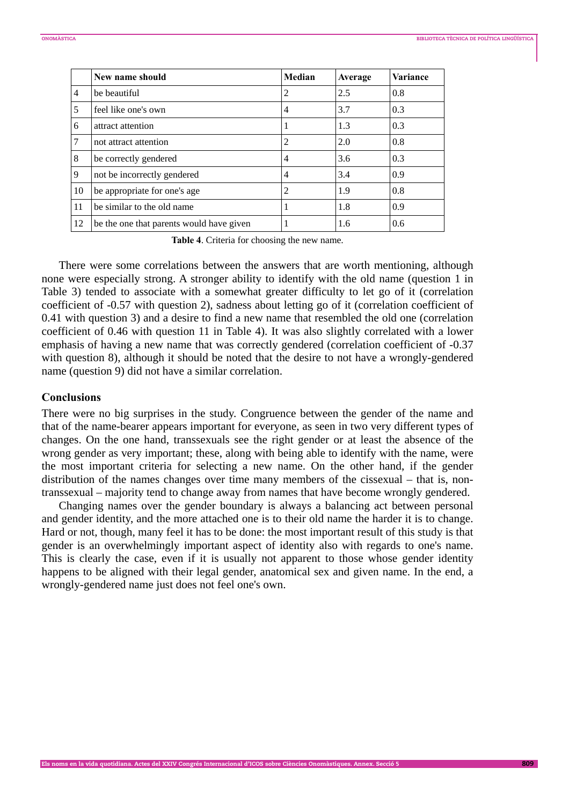|                | New name should                          | Median         | Average | Variance |
|----------------|------------------------------------------|----------------|---------|----------|
| $\overline{4}$ | be beautiful                             | 2              | 2.5     | 0.8      |
| 5              | feel like one's own                      | $\overline{4}$ | 3.7     | 0.3      |
| 6              | attract attention                        | п              | 1.3     | 0.3      |
| 7              | not attract attention                    | 2              | 2.0     | 0.8      |
| 8              | be correctly gendered                    | $\overline{4}$ | 3.6     | 0.3      |
| 9              | not be incorrectly gendered              | $\overline{4}$ | 3.4     | 0.9      |
| 10             | be appropriate for one's age             | $\overline{2}$ | 1.9     | 0.8      |
| 11             | be similar to the old name               | 1              | 1.8     | 0.9      |
| 12             | be the one that parents would have given |                | 1.6     | 0.6      |

**Table 4**. Criteria for choosing the new name.

 There were some correlations between the answers that are worth mentioning, although none were especially strong. A stronger ability to identify with the old name (question 1 in Table 3) tended to associate with a somewhat greater difficulty to let go of it (correlation coefficient of -0.57 with question 2), sadness about letting go of it (correlation coefficient of 0.41 with question 3) and a desire to find a new name that resembled the old one (correlation coefficient of 0.46 with question 11 in Table 4). It was also slightly correlated with a lower emphasis of having a new name that was correctly gendered (correlation coefficient of -0.37 with question 8), although it should be noted that the desire to not have a wrongly-gendered name (question 9) did not have a similar correlation.

## **Conclusions**

There were no big surprises in the study. Congruence between the gender of the name and that of the name-bearer appears important for everyone, as seen in two very different types of changes. On the one hand, transsexuals see the right gender or at least the absence of the wrong gender as very important; these, along with being able to identify with the name, were the most important criteria for selecting a new name. On the other hand, if the gender distribution of the names changes over time many members of the cissexual – that is, nontranssexual – majority tend to change away from names that have become wrongly gendered.

Changing names over the gender boundary is always a balancing act between personal and gender identity, and the more attached one is to their old name the harder it is to change. Hard or not, though, many feel it has to be done: the most important result of this study is that gender is an overwhelmingly important aspect of identity also with regards to one's name. This is clearly the case, even if it is usually not apparent to those whose gender identity happens to be aligned with their legal gender, anatomical sex and given name. In the end, a wrongly-gendered name just does not feel one's own.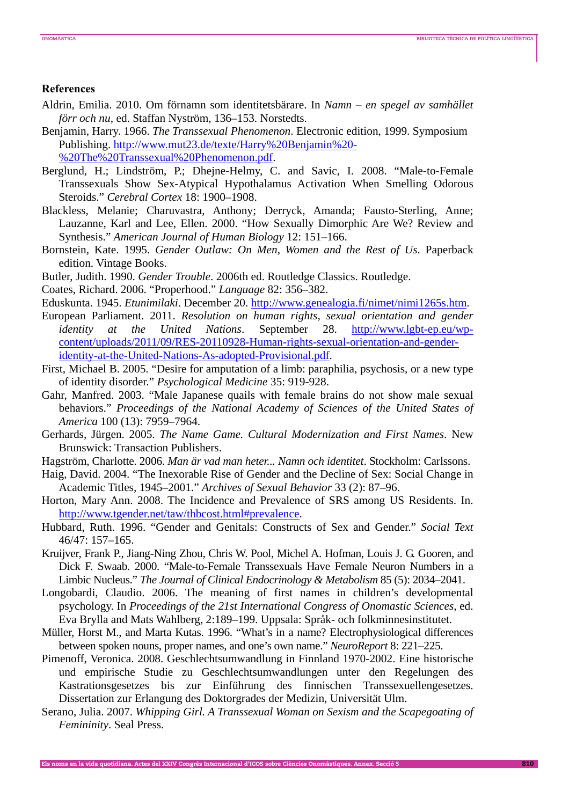## **References**

- Aldrin, Emilia. 2010. Om förnamn som identitetsbärare. In *Namn en spegel av samhället förr och nu*, ed. Staffan Nyström, 136–153. Norstedts.
- Benjamin, Harry. 1966. *The Transsexual Phenomenon*. Electronic edition, 1999. Symposium Publishing. http://www.mut23.de/texte/Harry%20Benjamin%20- %20The%20Transsexual%20Phenomenon.pdf.
- Berglund, H.; Lindström, P.; Dhejne-Helmy, C. and Savic, I. 2008. "Male-to-Female Transsexuals Show Sex-Atypical Hypothalamus Activation When Smelling Odorous Steroids." *Cerebral Cortex* 18: 1900–1908.
- Blackless, Melanie; Charuvastra, Anthony; Derryck, Amanda; Fausto-Sterling, Anne; Lauzanne, Karl and Lee, Ellen. 2000. "How Sexually Dimorphic Are We? Review and Synthesis." *American Journal of Human Biology* 12: 151–166.
- Bornstein, Kate. 1995. *Gender Outlaw: On Men, Women and the Rest of Us*. Paperback edition. Vintage Books.
- Butler, Judith. 1990. *Gender Trouble*. 2006th ed. Routledge Classics. Routledge.
- Coates, Richard. 2006. "Properhood." *Language* 82: 356–382.
- Eduskunta. 1945. *Etunimilaki*. December 20. http://www.genealogia.fi/nimet/nimi1265s.htm.
- European Parliament. 2011. *Resolution on human rights, sexual orientation and gender identity at the United Nations*. September 28. http://www.lgbt-ep.eu/wpcontent/uploads/2011/09/RES-20110928-Human-rights-sexual-orientation-and-genderidentity-at-the-United-Nations-As-adopted-Provisional.pdf.
- First, Michael B. 2005. "Desire for amputation of a limb: paraphilia, psychosis, or a new type of identity disorder." *Psychological Medicine* 35: 919-928.
- Gahr, Manfred. 2003. "Male Japanese quails with female brains do not show male sexual behaviors." *Proceedings of the National Academy of Sciences of the United States of America* 100 (13): 7959–7964.
- Gerhards, Jürgen. 2005. *The Name Game. Cultural Modernization and First Names*. New Brunswick: Transaction Publishers.
- Hagström, Charlotte. 2006. *Man är vad man heter... Namn och identitet*. Stockholm: Carlssons.
- Haig, David. 2004. "The Inexorable Rise of Gender and the Decline of Sex: Social Change in Academic Titles, 1945–2001." *Archives of Sexual Behavior* 33 (2): 87–96.
- Horton, Mary Ann. 2008. The Incidence and Prevalence of SRS among US Residents. In. http://www.tgender.net/taw/thbcost.html#prevalence.
- Hubbard, Ruth. 1996. "Gender and Genitals: Constructs of Sex and Gender." *Social Text* 46/47: 157–165.
- Kruijver, Frank P., Jiang-Ning Zhou, Chris W. Pool, Michel A. Hofman, Louis J. G. Gooren, and Dick F. Swaab. 2000. "Male-to-Female Transsexuals Have Female Neuron Numbers in a Limbic Nucleus." *The Journal of Clinical Endocrinology & Metabolism* 85 (5): 2034–2041.
- Longobardi, Claudio. 2006. The meaning of first names in children's developmental psychology. In *Proceedings of the 21st International Congress of Onomastic Sciences*, ed. Eva Brylla and Mats Wahlberg, 2:189–199. Uppsala: Språk- och folkminnesinstitutet.
- Müller, Horst M., and Marta Kutas. 1996. "What's in a name? Electrophysiological differences between spoken nouns, proper names, and one's own name." *NeuroReport* 8: 221–225.
- Pimenoff, Veronica. 2008. Geschlechtsumwandlung in Finnland 1970-2002. Eine historische und empirische Studie zu Geschlechtsumwandlungen unter den Regelungen des Kastrationsgesetzes bis zur Einführung des finnischen Transsexuellengesetzes. Dissertation zur Erlangung des Doktorgrades der Medizin, Universität Ulm.
- Serano, Julia. 2007. *Whipping Girl. A Transsexual Woman on Sexism and the Scapegoating of Femininity*. Seal Press.

**Els noms en la vida quotidiana. Actes del XXIV Congrés Internacional d'ICOS sobre Ciències Onomàstiques. Annex. Secció 5 810**